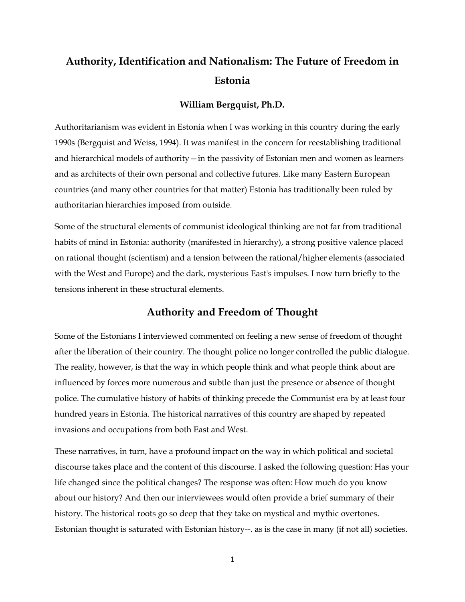# **Authority, Identification and Nationalism: The Future of Freedom in Estonia**

# **William Bergquist, Ph.D.**

Authoritarianism was evident in Estonia when I was working in this country during the early 1990s (Bergquist and Weiss, 1994). It was manifest in the concern for reestablishing traditional and hierarchical models of authority—in the passivity of Estonian men and women as learners and as architects of their own personal and collective futures. Like many Eastern European countries (and many other countries for that matter) Estonia has traditionally been ruled by authoritarian hierarchies imposed from outside.

Some of the structural elements of communist ideological thinking are not far from traditional habits of mind in Estonia: authority (manifested in hierarchy), a strong positive valence placed on rational thought (scientism) and a tension between the rational/higher elements (associated with the West and Europe) and the dark, mysterious East's impulses. I now turn briefly to the tensions inherent in these structural elements.

# **Authority and Freedom of Thought**

Some of the Estonians I interviewed commented on feeling a new sense of freedom of thought after the liberation of their country. The thought police no longer controlled the public dialogue. The reality, however, is that the way in which people think and what people think about are influenced by forces more numerous and subtle than just the presence or absence of thought police. The cumulative history of habits of thinking precede the Communist era by at least four hundred years in Estonia. The historical narratives of this country are shaped by repeated invasions and occupations from both East and West.

These narratives, in turn, have a profound impact on the way in which political and societal discourse takes place and the content of this discourse. I asked the following question: Has your life changed since the political changes? The response was often: How much do you know about our history? And then our interviewees would often provide a brief summary of their history. The historical roots go so deep that they take on mystical and mythic overtones. Estonian thought is saturated with Estonian history--. as is the case in many (if not all) societies.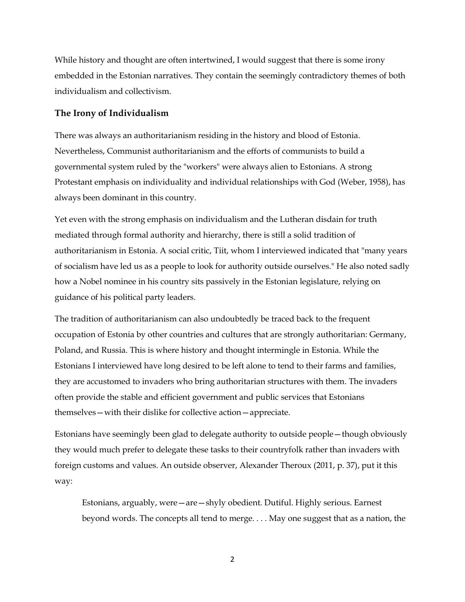While history and thought are often intertwined, I would suggest that there is some irony embedded in the Estonian narratives. They contain the seemingly contradictory themes of both individualism and collectivism.

# **The Irony of Individualism**

There was always an authoritarianism residing in the history and blood of Estonia. Nevertheless, Communist authoritarianism and the efforts of communists to build a governmental system ruled by the "workers" were always alien to Estonians. A strong Protestant emphasis on individuality and individual relationships with God (Weber, 1958), has always been dominant in this country.

Yet even with the strong emphasis on individualism and the Lutheran disdain for truth mediated through formal authority and hierarchy, there is still a solid tradition of authoritarianism in Estonia. A social critic, Tiit, whom I interviewed indicated that "many years of socialism have led us as a people to look for authority outside ourselves." He also noted sadly how a Nobel nominee in his country sits passively in the Estonian legislature, relying on guidance of his political party leaders.

The tradition of authoritarianism can also undoubtedly be traced back to the frequent occupation of Estonia by other countries and cultures that are strongly authoritarian: Germany, Poland, and Russia. This is where history and thought intermingle in Estonia. While the Estonians I interviewed have long desired to be left alone to tend to their farms and families, they are accustomed to invaders who bring authoritarian structures with them. The invaders often provide the stable and efficient government and public services that Estonians themselves—with their dislike for collective action—appreciate.

Estonians have seemingly been glad to delegate authority to outside people—though obviously they would much prefer to delegate these tasks to their countryfolk rather than invaders with foreign customs and values. An outside observer, Alexander Theroux (2011, p. 37), put it this way:

Estonians, arguably, were—are—shyly obedient. Dutiful. Highly serious. Earnest beyond words. The concepts all tend to merge. . . . May one suggest that as a nation, the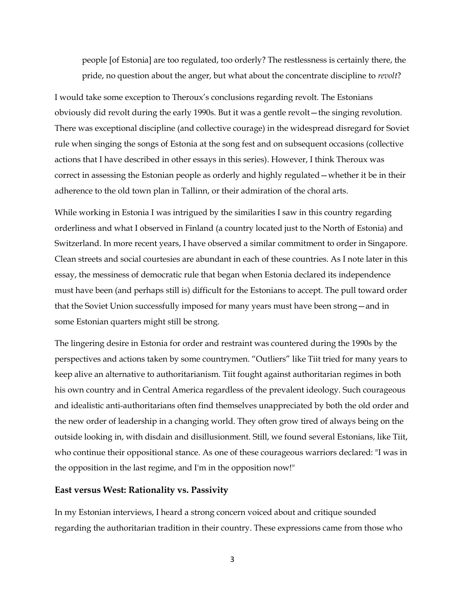people [of Estonia] are too regulated, too orderly? The restlessness is certainly there, the pride, no question about the anger, but what about the concentrate discipline to *revolt*?

I would take some exception to Theroux's conclusions regarding revolt. The Estonians obviously did revolt during the early 1990s. But it was a gentle revolt—the singing revolution. There was exceptional discipline (and collective courage) in the widespread disregard for Soviet rule when singing the songs of Estonia at the song fest and on subsequent occasions (collective actions that I have described in other essays in this series). However, I think Theroux was correct in assessing the Estonian people as orderly and highly regulated—whether it be in their adherence to the old town plan in Tallinn, or their admiration of the choral arts.

While working in Estonia I was intrigued by the similarities I saw in this country regarding orderliness and what I observed in Finland (a country located just to the North of Estonia) and Switzerland. In more recent years, I have observed a similar commitment to order in Singapore. Clean streets and social courtesies are abundant in each of these countries. As I note later in this essay, the messiness of democratic rule that began when Estonia declared its independence must have been (and perhaps still is) difficult for the Estonians to accept. The pull toward order that the Soviet Union successfully imposed for many years must have been strong—and in some Estonian quarters might still be strong.

The lingering desire in Estonia for order and restraint was countered during the 1990s by the perspectives and actions taken by some countrymen. "Outliers" like Tiit tried for many years to keep alive an alternative to authoritarianism. Tiit fought against authoritarian regimes in both his own country and in Central America regardless of the prevalent ideology. Such courageous and idealistic anti-authoritarians often find themselves unappreciated by both the old order and the new order of leadership in a changing world. They often grow tired of always being on the outside looking in, with disdain and disillusionment. Still, we found several Estonians, like Tiit, who continue their oppositional stance. As one of these courageous warriors declared: "I was in the opposition in the last regime, and I'm in the opposition now!"

### **East versus West: Rationality vs. Passivity**

In my Estonian interviews, I heard a strong concern voiced about and critique sounded regarding the authoritarian tradition in their country. These expressions came from those who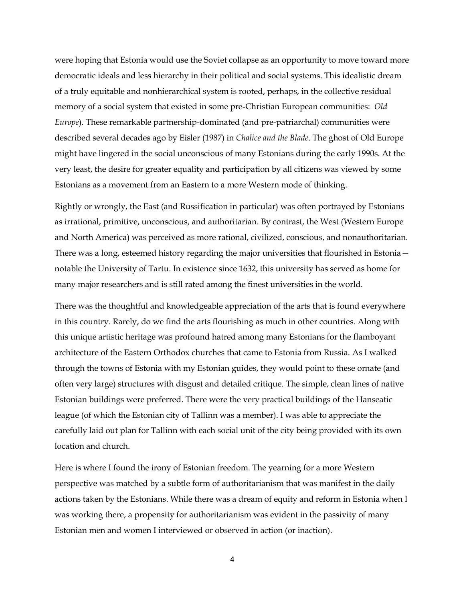were hoping that Estonia would use the Soviet collapse as an opportunity to move toward more democratic ideals and less hierarchy in their political and social systems. This idealistic dream of a truly equitable and nonhierarchical system is rooted, perhaps, in the collective residual memory of a social system that existed in some pre-Christian European communities: *Old Europe*). These remarkable partnership-dominated (and pre-patriarchal) communities were described several decades ago by Eisler (1987) in *Chalice and the Blade*. The ghost of Old Europe might have lingered in the social unconscious of many Estonians during the early 1990s. At the very least, the desire for greater equality and participation by all citizens was viewed by some Estonians as a movement from an Eastern to a more Western mode of thinking.

Rightly or wrongly, the East (and Russification in particular) was often portrayed by Estonians as irrational, primitive, unconscious, and authoritarian. By contrast, the West (Western Europe and North America) was perceived as more rational, civilized, conscious, and nonauthoritarian. There was a long, esteemed history regarding the major universities that flourished in Estonia notable the University of Tartu. In existence since 1632, this university has served as home for many major researchers and is still rated among the finest universities in the world.

There was the thoughtful and knowledgeable appreciation of the arts that is found everywhere in this country. Rarely, do we find the arts flourishing as much in other countries. Along with this unique artistic heritage was profound hatred among many Estonians for the flamboyant architecture of the Eastern Orthodox churches that came to Estonia from Russia. As I walked through the towns of Estonia with my Estonian guides, they would point to these ornate (and often very large) structures with disgust and detailed critique. The simple, clean lines of native Estonian buildings were preferred. There were the very practical buildings of the Hanseatic league (of which the Estonian city of Tallinn was a member). I was able to appreciate the carefully laid out plan for Tallinn with each social unit of the city being provided with its own location and church.

Here is where I found the irony of Estonian freedom. The yearning for a more Western perspective was matched by a subtle form of authoritarianism that was manifest in the daily actions taken by the Estonians. While there was a dream of equity and reform in Estonia when I was working there, a propensity for authoritarianism was evident in the passivity of many Estonian men and women I interviewed or observed in action (or inaction).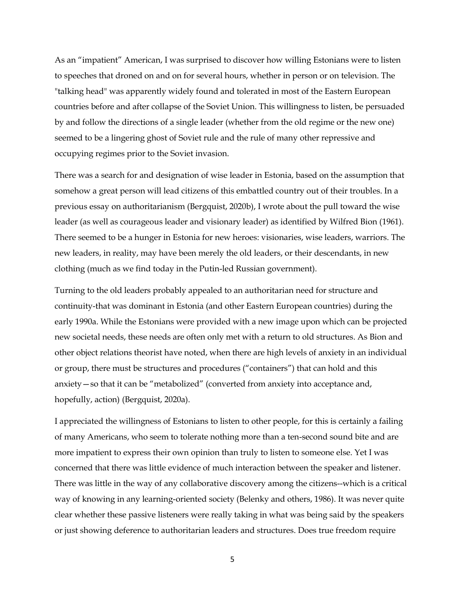As an "impatient" American, I was surprised to discover how willing Estonians were to listen to speeches that droned on and on for several hours, whether in person or on television. The "talking head" was apparently widely found and tolerated in most of the Eastern European countries before and after collapse of the Soviet Union. This willingness to listen, be persuaded by and follow the directions of a single leader (whether from the old regime or the new one) seemed to be a lingering ghost of Soviet rule and the rule of many other repressive and occupying regimes prior to the Soviet invasion.

There was a search for and designation of wise leader in Estonia, based on the assumption that somehow a great person will lead citizens of this embattled country out of their troubles. In a previous essay on authoritarianism (Bergquist, 2020b), I wrote about the pull toward the wise leader (as well as courageous leader and visionary leader) as identified by Wilfred Bion (1961). There seemed to be a hunger in Estonia for new heroes: visionaries, wise leaders, warriors. The new leaders, in reality, may have been merely the old leaders, or their descendants, in new clothing (much as we find today in the Putin-led Russian government).

Turning to the old leaders probably appealed to an authoritarian need for structure and continuity-that was dominant in Estonia (and other Eastern European countries) during the early 1990a. While the Estonians were provided with a new image upon which can be projected new societal needs, these needs are often only met with a return to old structures. As Bion and other object relations theorist have noted, when there are high levels of anxiety in an individual or group, there must be structures and procedures ("containers") that can hold and this anxiety—so that it can be "metabolized" (converted from anxiety into acceptance and, hopefully, action) (Bergquist, 2020a).

I appreciated the willingness of Estonians to listen to other people, for this is certainly a failing of many Americans, who seem to tolerate nothing more than a ten-second sound bite and are more impatient to express their own opinion than truly to listen to someone else. Yet I was concerned that there was little evidence of much interaction between the speaker and listener. There was little in the way of any collaborative discovery among the citizens--which is a critical way of knowing in any learning-oriented society (Belenky and others, 1986). It was never quite clear whether these passive listeners were really taking in what was being said by the speakers or just showing deference to authoritarian leaders and structures. Does true freedom require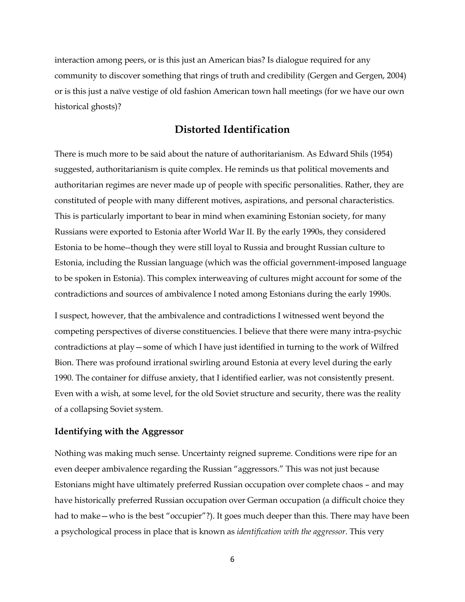interaction among peers, or is this just an American bias? Is dialogue required for any community to discover something that rings of truth and credibility (Gergen and Gergen, 2004) or is this just a naïve vestige of old fashion American town hall meetings (for we have our own historical ghosts)?

# **Distorted Identification**

There is much more to be said about the nature of authoritarianism. As Edward Shils (1954) suggested, authoritarianism is quite complex. He reminds us that political movements and authoritarian regimes are never made up of people with specific personalities. Rather, they are constituted of people with many different motives, aspirations, and personal characteristics. This is particularly important to bear in mind when examining Estonian society, for many Russians were exported to Estonia after World War II. By the early 1990s, they considered Estonia to be home--though they were still loyal to Russia and brought Russian culture to Estonia, including the Russian language (which was the official government-imposed language to be spoken in Estonia). This complex interweaving of cultures might account for some of the contradictions and sources of ambivalence I noted among Estonians during the early 1990s.

I suspect, however, that the ambivalence and contradictions I witnessed went beyond the competing perspectives of diverse constituencies. I believe that there were many intra-psychic contradictions at play—some of which I have just identified in turning to the work of Wilfred Bion. There was profound irrational swirling around Estonia at every level during the early 1990. The container for diffuse anxiety, that I identified earlier, was not consistently present. Even with a wish, at some level, for the old Soviet structure and security, there was the reality of a collapsing Soviet system.

# **Identifying with the Aggressor**

Nothing was making much sense. Uncertainty reigned supreme. Conditions were ripe for an even deeper ambivalence regarding the Russian "aggressors." This was not just because Estonians might have ultimately preferred Russian occupation over complete chaos – and may have historically preferred Russian occupation over German occupation (a difficult choice they had to make—who is the best "occupier"?). It goes much deeper than this. There may have been a psychological process in place that is known as *identification with the aggressor*. This very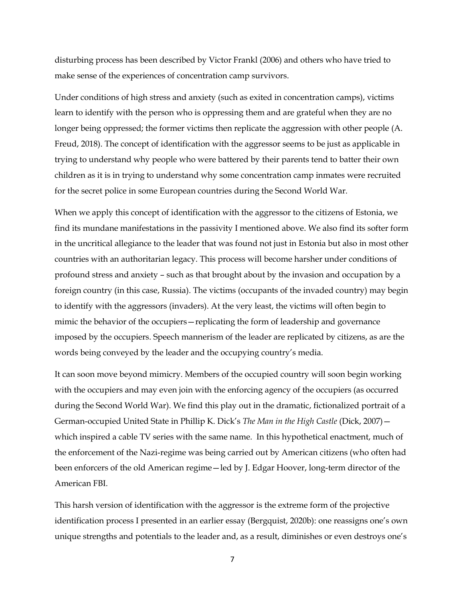disturbing process has been described by Victor Frankl (2006) and others who have tried to make sense of the experiences of concentration camp survivors.

Under conditions of high stress and anxiety (such as exited in concentration camps), victims learn to identify with the person who is oppressing them and are grateful when they are no longer being oppressed; the former victims then replicate the aggression with other people (A. Freud, 2018). The concept of identification with the aggressor seems to be just as applicable in trying to understand why people who were battered by their parents tend to batter their own children as it is in trying to understand why some concentration camp inmates were recruited for the secret police in some European countries during the Second World War.

When we apply this concept of identification with the aggressor to the citizens of Estonia, we find its mundane manifestations in the passivity I mentioned above. We also find its softer form in the uncritical allegiance to the leader that was found not just in Estonia but also in most other countries with an authoritarian legacy. This process will become harsher under conditions of profound stress and anxiety – such as that brought about by the invasion and occupation by a foreign country (in this case, Russia). The victims (occupants of the invaded country) may begin to identify with the aggressors (invaders). At the very least, the victims will often begin to mimic the behavior of the occupiers—replicating the form of leadership and governance imposed by the occupiers. Speech mannerism of the leader are replicated by citizens, as are the words being conveyed by the leader and the occupying country's media.

It can soon move beyond mimicry. Members of the occupied country will soon begin working with the occupiers and may even join with the enforcing agency of the occupiers (as occurred during the Second World War). We find this play out in the dramatic, fictionalized portrait of a German-occupied United State in Phillip K. Dick's *The Man in the High Castle* (Dick, 2007) which inspired a cable TV series with the same name. In this hypothetical enactment, much of the enforcement of the Nazi-regime was being carried out by American citizens (who often had been enforcers of the old American regime—led by J. Edgar Hoover, long-term director of the American FBI.

This harsh version of identification with the aggressor is the extreme form of the projective identification process I presented in an earlier essay (Bergquist, 2020b): one reassigns one's own unique strengths and potentials to the leader and, as a result, diminishes or even destroys one's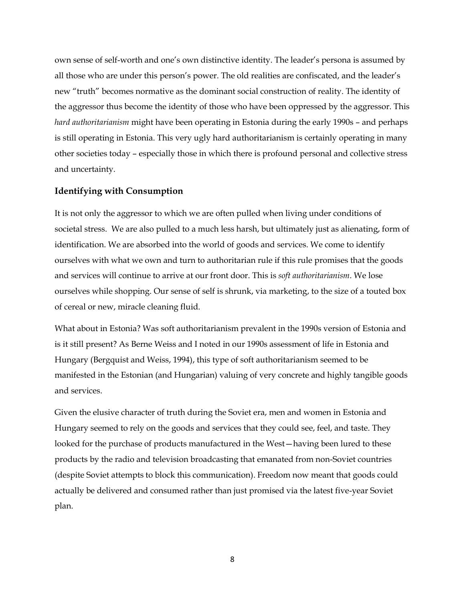own sense of self-worth and one's own distinctive identity. The leader's persona is assumed by all those who are under this person's power. The old realities are confiscated, and the leader's new "truth" becomes normative as the dominant social construction of reality. The identity of the aggressor thus become the identity of those who have been oppressed by the aggressor. This *hard authoritarianism* might have been operating in Estonia during the early 1990s – and perhaps is still operating in Estonia. This very ugly hard authoritarianism is certainly operating in many other societies today – especially those in which there is profound personal and collective stress and uncertainty.

## **Identifying with Consumption**

It is not only the aggressor to which we are often pulled when living under conditions of societal stress. We are also pulled to a much less harsh, but ultimately just as alienating, form of identification. We are absorbed into the world of goods and services. We come to identify ourselves with what we own and turn to authoritarian rule if this rule promises that the goods and services will continue to arrive at our front door. This is *soft authoritarianism*. We lose ourselves while shopping. Our sense of self is shrunk, via marketing, to the size of a touted box of cereal or new, miracle cleaning fluid.

What about in Estonia? Was soft authoritarianism prevalent in the 1990s version of Estonia and is it still present? As Berne Weiss and I noted in our 1990s assessment of life in Estonia and Hungary (Bergquist and Weiss, 1994), this type of soft authoritarianism seemed to be manifested in the Estonian (and Hungarian) valuing of very concrete and highly tangible goods and services.

Given the elusive character of truth during the Soviet era, men and women in Estonia and Hungary seemed to rely on the goods and services that they could see, feel, and taste. They looked for the purchase of products manufactured in the West—having been lured to these products by the radio and television broadcasting that emanated from non-Soviet countries (despite Soviet attempts to block this communication). Freedom now meant that goods could actually be delivered and consumed rather than just promised via the latest five-year Soviet plan.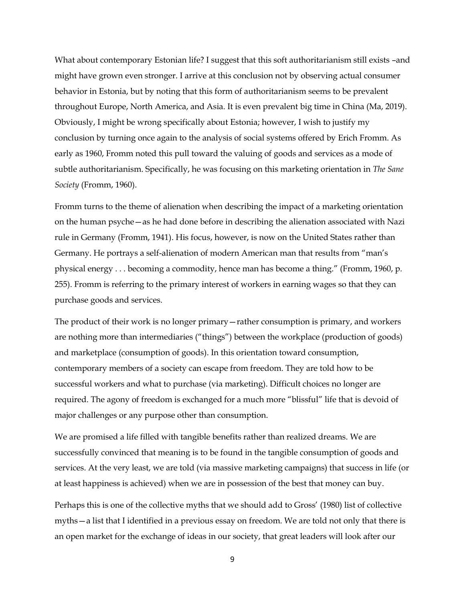What about contemporary Estonian life? I suggest that this soft authoritarianism still exists –and might have grown even stronger. I arrive at this conclusion not by observing actual consumer behavior in Estonia, but by noting that this form of authoritarianism seems to be prevalent throughout Europe, North America, and Asia. It is even prevalent big time in China (Ma, 2019). Obviously, I might be wrong specifically about Estonia; however, I wish to justify my conclusion by turning once again to the analysis of social systems offered by Erich Fromm. As early as 1960, Fromm noted this pull toward the valuing of goods and services as a mode of subtle authoritarianism. Specifically, he was focusing on this marketing orientation in *The Sane Society* (Fromm, 1960).

Fromm turns to the theme of alienation when describing the impact of a marketing orientation on the human psyche—as he had done before in describing the alienation associated with Nazi rule in Germany (Fromm, 1941). His focus, however, is now on the United States rather than Germany. He portrays a self-alienation of modern American man that results from "man's physical energy . . . becoming a commodity, hence man has become a thing." (Fromm, 1960, p. 255). Fromm is referring to the primary interest of workers in earning wages so that they can purchase goods and services.

The product of their work is no longer primary—rather consumption is primary, and workers are nothing more than intermediaries ("things") between the workplace (production of goods) and marketplace (consumption of goods). In this orientation toward consumption, contemporary members of a society can escape from freedom. They are told how to be successful workers and what to purchase (via marketing). Difficult choices no longer are required. The agony of freedom is exchanged for a much more "blissful" life that is devoid of major challenges or any purpose other than consumption.

We are promised a life filled with tangible benefits rather than realized dreams. We are successfully convinced that meaning is to be found in the tangible consumption of goods and services. At the very least, we are told (via massive marketing campaigns) that success in life (or at least happiness is achieved) when we are in possession of the best that money can buy.

Perhaps this is one of the collective myths that we should add to Gross' (1980) list of collective myths—a list that I identified in a previous essay on freedom. We are told not only that there is an open market for the exchange of ideas in our society, that great leaders will look after our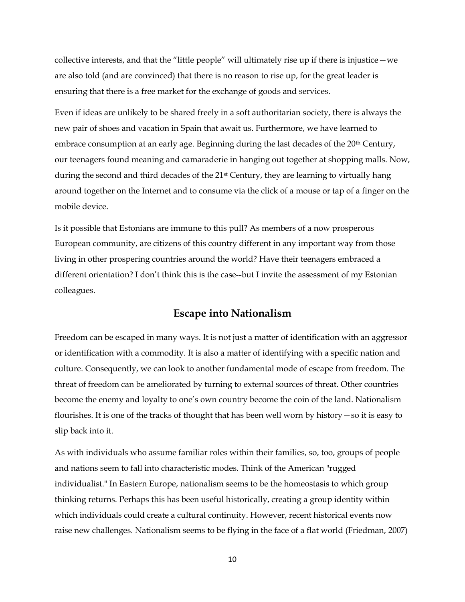collective interests, and that the "little people" will ultimately rise up if there is injustice—we are also told (and are convinced) that there is no reason to rise up, for the great leader is ensuring that there is a free market for the exchange of goods and services.

Even if ideas are unlikely to be shared freely in a soft authoritarian society, there is always the new pair of shoes and vacation in Spain that await us. Furthermore, we have learned to embrace consumption at an early age. Beginning during the last decades of the 20<sup>th</sup> Century, our teenagers found meaning and camaraderie in hanging out together at shopping malls. Now, during the second and third decades of the 21<sup>st</sup> Century, they are learning to virtually hang around together on the Internet and to consume via the click of a mouse or tap of a finger on the mobile device.

Is it possible that Estonians are immune to this pull? As members of a now prosperous European community, are citizens of this country different in any important way from those living in other prospering countries around the world? Have their teenagers embraced a different orientation? I don't think this is the case--but I invite the assessment of my Estonian colleagues.

# **Escape into Nationalism**

Freedom can be escaped in many ways. It is not just a matter of identification with an aggressor or identification with a commodity. It is also a matter of identifying with a specific nation and culture. Consequently, we can look to another fundamental mode of escape from freedom. The threat of freedom can be ameliorated by turning to external sources of threat. Other countries become the enemy and loyalty to one's own country become the coin of the land. Nationalism flourishes. It is one of the tracks of thought that has been well worn by history—so it is easy to slip back into it.

As with individuals who assume familiar roles within their families, so, too, groups of people and nations seem to fall into characteristic modes. Think of the American "rugged individualist." In Eastern Europe, nationalism seems to be the homeostasis to which group thinking returns. Perhaps this has been useful historically, creating a group identity within which individuals could create a cultural continuity. However, recent historical events now raise new challenges. Nationalism seems to be flying in the face of a flat world (Friedman, 2007)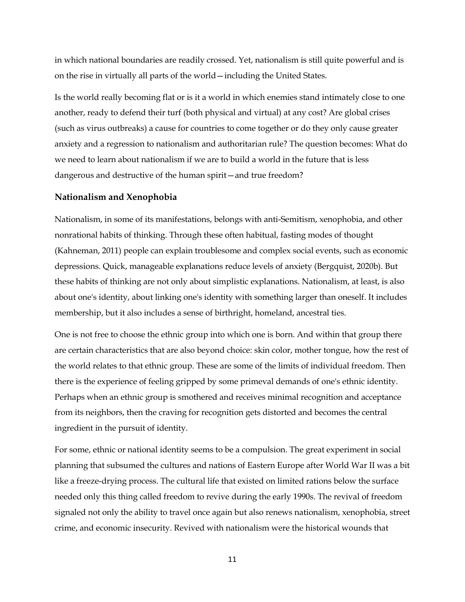in which national boundaries are readily crossed. Yet, nationalism is still quite powerful and is on the rise in virtually all parts of the world—including the United States.

Is the world really becoming flat or is it a world in which enemies stand intimately close to one another, ready to defend their turf (both physical and virtual) at any cost? Are global crises (such as virus outbreaks) a cause for countries to come together or do they only cause greater anxiety and a regression to nationalism and authoritarian rule? The question becomes: What do we need to learn about nationalism if we are to build a world in the future that is less dangerous and destructive of the human spirit—and true freedom?

#### **Nationalism and Xenophobia**

Nationalism, in some of its manifestations, belongs with anti-Semitism, xenophobia, and other nonrational habits of thinking. Through these often habitual, fasting modes of thought (Kahneman, 2011) people can explain troublesome and complex social events, such as economic depressions. Quick, manageable explanations reduce levels of anxiety (Bergquist, 2020b). But these habits of thinking are not only about simplistic explanations. Nationalism, at least, is also about one's identity, about linking one's identity with something larger than oneself. It includes membership, but it also includes a sense of birthright, homeland, ancestral ties.

One is not free to choose the ethnic group into which one is born. And within that group there are certain characteristics that are also beyond choice: skin color, mother tongue, how the rest of the world relates to that ethnic group. These are some of the limits of individual freedom. Then there is the experience of feeling gripped by some primeval demands of one's ethnic identity. Perhaps when an ethnic group is smothered and receives minimal recognition and acceptance from its neighbors, then the craving for recognition gets distorted and becomes the central ingredient in the pursuit of identity.

For some, ethnic or national identity seems to be a compulsion. The great experiment in social planning that subsumed the cultures and nations of Eastern Europe after World War II was a bit like a freeze-drying process. The cultural life that existed on limited rations below the surface needed only this thing called freedom to revive during the early 1990s. The revival of freedom signaled not only the ability to travel once again but also renews nationalism, xenophobia, street crime, and economic insecurity. Revived with nationalism were the historical wounds that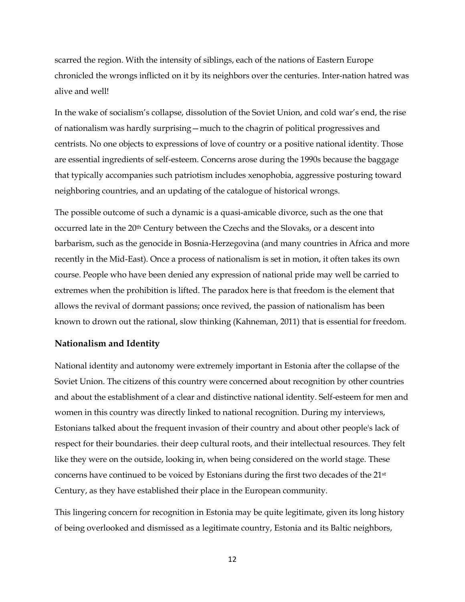scarred the region. With the intensity of siblings, each of the nations of Eastern Europe chronicled the wrongs inflicted on it by its neighbors over the centuries. Inter-nation hatred was alive and well!

In the wake of socialism's collapse, dissolution of the Soviet Union, and cold war's end, the rise of nationalism was hardly surprising—much to the chagrin of political progressives and centrists. No one objects to expressions of love of country or a positive national identity. Those are essential ingredients of self-esteem. Concerns arose during the 1990s because the baggage that typically accompanies such patriotism includes xenophobia, aggressive posturing toward neighboring countries, and an updating of the catalogue of historical wrongs.

The possible outcome of such a dynamic is a quasi-amicable divorce, such as the one that occurred late in the 20th Century between the Czechs and the Slovaks, or a descent into barbarism, such as the genocide in Bosnia-Herzegovina (and many countries in Africa and more recently in the Mid-East). Once a process of nationalism is set in motion, it often takes its own course. People who have been denied any expression of national pride may well be carried to extremes when the prohibition is lifted. The paradox here is that freedom is the element that allows the revival of dormant passions; once revived, the passion of nationalism has been known to drown out the rational, slow thinking (Kahneman, 2011) that is essential for freedom.

## **Nationalism and Identity**

National identity and autonomy were extremely important in Estonia after the collapse of the Soviet Union. The citizens of this country were concerned about recognition by other countries and about the establishment of a clear and distinctive national identity. Self-esteem for men and women in this country was directly linked to national recognition. During my interviews, Estonians talked about the frequent invasion of their country and about other people's lack of respect for their boundaries. their deep cultural roots, and their intellectual resources. They felt like they were on the outside, looking in, when being considered on the world stage. These concerns have continued to be voiced by Estonians during the first two decades of the 21st Century, as they have established their place in the European community.

This lingering concern for recognition in Estonia may be quite legitimate, given its long history of being overlooked and dismissed as a legitimate country, Estonia and its Baltic neighbors,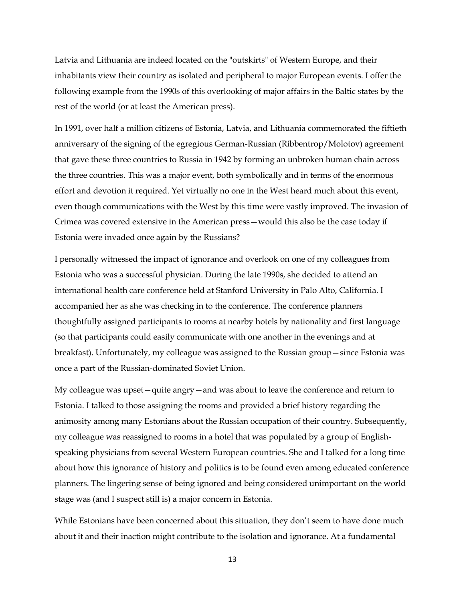Latvia and Lithuania are indeed located on the "outskirts" of Western Europe, and their inhabitants view their country as isolated and peripheral to major European events. I offer the following example from the 1990s of this overlooking of major affairs in the Baltic states by the rest of the world (or at least the American press).

In 1991, over half a million citizens of Estonia, Latvia, and Lithuania commemorated the fiftieth anniversary of the signing of the egregious German-Russian (Ribbentrop/Molotov) agreement that gave these three countries to Russia in 1942 by forming an unbroken human chain across the three countries. This was a major event, both symbolically and in terms of the enormous effort and devotion it required. Yet virtually no one in the West heard much about this event, even though communications with the West by this time were vastly improved. The invasion of Crimea was covered extensive in the American press—would this also be the case today if Estonia were invaded once again by the Russians?

I personally witnessed the impact of ignorance and overlook on one of my colleagues from Estonia who was a successful physician. During the late 1990s, she decided to attend an international health care conference held at Stanford University in Palo Alto, California. I accompanied her as she was checking in to the conference. The conference planners thoughtfully assigned participants to rooms at nearby hotels by nationality and first language (so that participants could easily communicate with one another in the evenings and at breakfast). Unfortunately, my colleague was assigned to the Russian group—since Estonia was once a part of the Russian-dominated Soviet Union.

My colleague was upset—quite angry—and was about to leave the conference and return to Estonia. I talked to those assigning the rooms and provided a brief history regarding the animosity among many Estonians about the Russian occupation of their country. Subsequently, my colleague was reassigned to rooms in a hotel that was populated by a group of Englishspeaking physicians from several Western European countries. She and I talked for a long time about how this ignorance of history and politics is to be found even among educated conference planners. The lingering sense of being ignored and being considered unimportant on the world stage was (and I suspect still is) a major concern in Estonia.

While Estonians have been concerned about this situation, they don't seem to have done much about it and their inaction might contribute to the isolation and ignorance. At a fundamental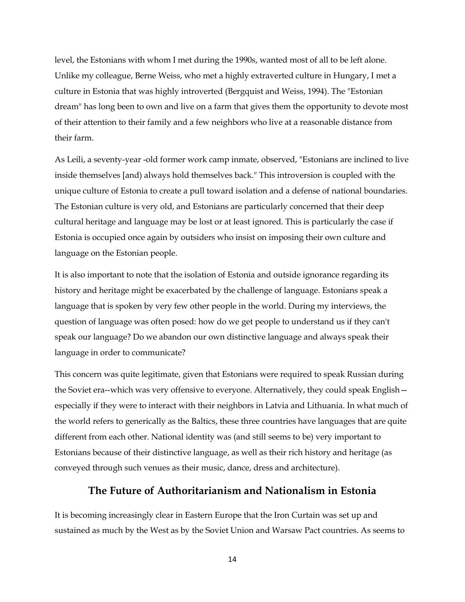level, the Estonians with whom I met during the 1990s, wanted most of all to be left alone. Unlike my colleague, Berne Weiss, who met a highly extraverted culture in Hungary, I met a culture in Estonia that was highly introverted (Bergquist and Weiss, 1994). The "Estonian dream" has long been to own and live on a farm that gives them the opportunity to devote most of their attention to their family and a few neighbors who live at a reasonable distance from their farm.

As Leili, a seventy-year -old former work camp inmate, observed, "Estonians are inclined to live inside themselves [and) always hold themselves back." This introversion is coupled with the unique culture of Estonia to create a pull toward isolation and a defense of national boundaries. The Estonian culture is very old, and Estonians are particularly concerned that their deep cultural heritage and language may be lost or at least ignored. This is particularly the case if Estonia is occupied once again by outsiders who insist on imposing their own culture and language on the Estonian people.

It is also important to note that the isolation of Estonia and outside ignorance regarding its history and heritage might be exacerbated by the challenge of language. Estonians speak a language that is spoken by very few other people in the world. During my interviews, the question of language was often posed: how do we get people to understand us if they can't speak our language? Do we abandon our own distinctive language and always speak their language in order to communicate?

This concern was quite legitimate, given that Estonians were required to speak Russian during the Soviet era--which was very offensive to everyone. Alternatively, they could speak English especially if they were to interact with their neighbors in Latvia and Lithuania. In what much of the world refers to generically as the Baltics, these three countries have languages that are quite different from each other. National identity was (and still seems to be) very important to Estonians because of their distinctive language, as well as their rich history and heritage (as conveyed through such venues as their music, dance, dress and architecture).

# **The Future of Authoritarianism and Nationalism in Estonia**

It is becoming increasingly clear in Eastern Europe that the Iron Curtain was set up and sustained as much by the West as by the Soviet Union and Warsaw Pact countries. As seems to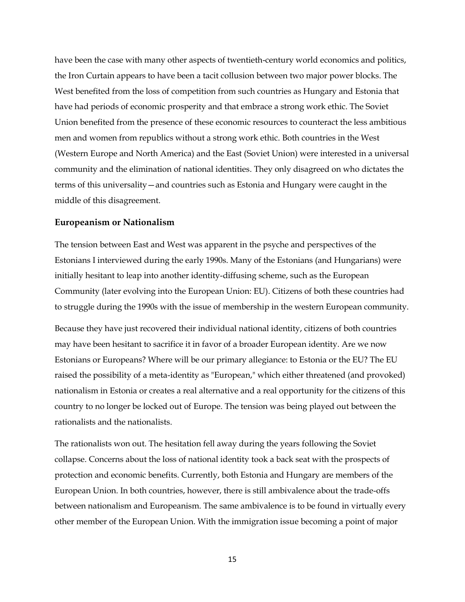have been the case with many other aspects of twentieth-century world economics and politics, the Iron Curtain appears to have been a tacit collusion between two major power blocks. The West benefited from the loss of competition from such countries as Hungary and Estonia that have had periods of economic prosperity and that embrace a strong work ethic. The Soviet Union benefited from the presence of these economic resources to counteract the less ambitious men and women from republics without a strong work ethic. Both countries in the West (Western Europe and North America) and the East (Soviet Union) were interested in a universal community and the elimination of national identities. They only disagreed on who dictates the terms of this universality—and countries such as Estonia and Hungary were caught in the middle of this disagreement.

#### **Europeanism or Nationalism**

The tension between East and West was apparent in the psyche and perspectives of the Estonians I interviewed during the early 1990s. Many of the Estonians (and Hungarians) were initially hesitant to leap into another identity-diffusing scheme, such as the European Community (later evolving into the European Union: EU). Citizens of both these countries had to struggle during the 1990s with the issue of membership in the western European community.

Because they have just recovered their individual national identity, citizens of both countries may have been hesitant to sacrifice it in favor of a broader European identity. Are we now Estonians or Europeans? Where will be our primary allegiance: to Estonia or the EU? The EU raised the possibility of a meta-identity as "European," which either threatened (and provoked) nationalism in Estonia or creates a real alternative and a real opportunity for the citizens of this country to no longer be locked out of Europe. The tension was being played out between the rationalists and the nationalists.

The rationalists won out. The hesitation fell away during the years following the Soviet collapse. Concerns about the loss of national identity took a back seat with the prospects of protection and economic benefits. Currently, both Estonia and Hungary are members of the European Union. In both countries, however, there is still ambivalence about the trade-offs between nationalism and Europeanism. The same ambivalence is to be found in virtually every other member of the European Union. With the immigration issue becoming a point of major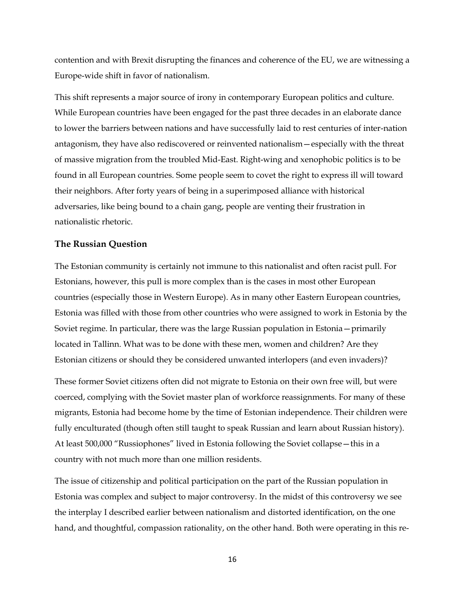contention and with Brexit disrupting the finances and coherence of the EU, we are witnessing a Europe-wide shift in favor of nationalism.

This shift represents a major source of irony in contemporary European politics and culture. While European countries have been engaged for the past three decades in an elaborate dance to lower the barriers between nations and have successfully laid to rest centuries of inter-nation antagonism, they have also rediscovered or reinvented nationalism—especially with the threat of massive migration from the troubled Mid-East. Right-wing and xenophobic politics is to be found in all European countries. Some people seem to covet the right to express ill will toward their neighbors. After forty years of being in a superimposed alliance with historical adversaries, like being bound to a chain gang, people are venting their frustration in nationalistic rhetoric.

### **The Russian Question**

The Estonian community is certainly not immune to this nationalist and often racist pull. For Estonians, however, this pull is more complex than is the cases in most other European countries (especially those in Western Europe). As in many other Eastern European countries, Estonia was filled with those from other countries who were assigned to work in Estonia by the Soviet regime. In particular, there was the large Russian population in Estonia—primarily located in Tallinn. What was to be done with these men, women and children? Are they Estonian citizens or should they be considered unwanted interlopers (and even invaders)?

These former Soviet citizens often did not migrate to Estonia on their own free will, but were coerced, complying with the Soviet master plan of workforce reassignments. For many of these migrants, Estonia had become home by the time of Estonian independence. Their children were fully enculturated (though often still taught to speak Russian and learn about Russian history). At least 500,000 "Russiophones" lived in Estonia following the Soviet collapse—this in a country with not much more than one million residents.

The issue of citizenship and political participation on the part of the Russian population in Estonia was complex and subject to major controversy. In the midst of this controversy we see the interplay I described earlier between nationalism and distorted identification, on the one hand, and thoughtful, compassion rationality, on the other hand. Both were operating in this re-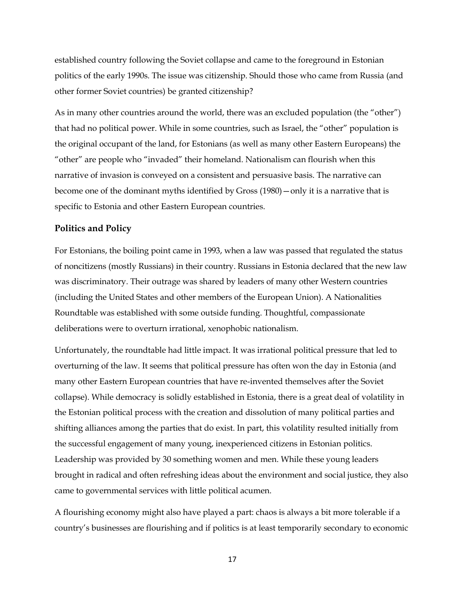established country following the Soviet collapse and came to the foreground in Estonian politics of the early 1990s. The issue was citizenship. Should those who came from Russia (and other former Soviet countries) be granted citizenship?

As in many other countries around the world, there was an excluded population (the "other") that had no political power. While in some countries, such as Israel, the "other" population is the original occupant of the land, for Estonians (as well as many other Eastern Europeans) the "other" are people who "invaded" their homeland. Nationalism can flourish when this narrative of invasion is conveyed on a consistent and persuasive basis. The narrative can become one of the dominant myths identified by Gross (1980)—only it is a narrative that is specific to Estonia and other Eastern European countries.

### **Politics and Policy**

For Estonians, the boiling point came in 1993, when a law was passed that regulated the status of noncitizens (mostly Russians) in their country. Russians in Estonia declared that the new law was discriminatory. Their outrage was shared by leaders of many other Western countries (including the United States and other members of the European Union). A Nationalities Roundtable was established with some outside funding. Thoughtful, compassionate deliberations were to overturn irrational, xenophobic nationalism.

Unfortunately, the roundtable had little impact. It was irrational political pressure that led to overturning of the law. It seems that political pressure has often won the day in Estonia (and many other Eastern European countries that have re-invented themselves after the Soviet collapse). While democracy is solidly established in Estonia, there is a great deal of volatility in the Estonian political process with the creation and dissolution of many political parties and shifting alliances among the parties that do exist. In part, this volatility resulted initially from the successful engagement of many young, inexperienced citizens in Estonian politics. Leadership was provided by 30 something women and men. While these young leaders brought in radical and often refreshing ideas about the environment and social justice, they also came to governmental services with little political acumen.

A flourishing economy might also have played a part: chaos is always a bit more tolerable if a country's businesses are flourishing and if politics is at least temporarily secondary to economic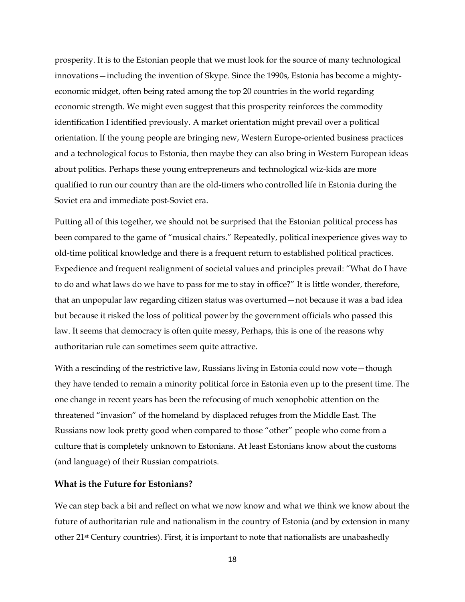prosperity. It is to the Estonian people that we must look for the source of many technological innovations—including the invention of Skype. Since the 1990s, Estonia has become a mightyeconomic midget, often being rated among the top 20 countries in the world regarding economic strength. We might even suggest that this prosperity reinforces the commodity identification I identified previously. A market orientation might prevail over a political orientation. If the young people are bringing new, Western Europe-oriented business practices and a technological focus to Estonia, then maybe they can also bring in Western European ideas about politics. Perhaps these young entrepreneurs and technological wiz-kids are more qualified to run our country than are the old-timers who controlled life in Estonia during the Soviet era and immediate post-Soviet era.

Putting all of this together, we should not be surprised that the Estonian political process has been compared to the game of "musical chairs." Repeatedly, political inexperience gives way to old-time political knowledge and there is a frequent return to established political practices. Expedience and frequent realignment of societal values and principles prevail: "What do I have to do and what laws do we have to pass for me to stay in office?" It is little wonder, therefore, that an unpopular law regarding citizen status was overturned—not because it was a bad idea but because it risked the loss of political power by the government officials who passed this law. It seems that democracy is often quite messy, Perhaps, this is one of the reasons why authoritarian rule can sometimes seem quite attractive.

With a rescinding of the restrictive law, Russians living in Estonia could now vote — though they have tended to remain a minority political force in Estonia even up to the present time. The one change in recent years has been the refocusing of much xenophobic attention on the threatened "invasion" of the homeland by displaced refuges from the Middle East. The Russians now look pretty good when compared to those "other" people who come from a culture that is completely unknown to Estonians. At least Estonians know about the customs (and language) of their Russian compatriots.

### **What is the Future for Estonians?**

We can step back a bit and reflect on what we now know and what we think we know about the future of authoritarian rule and nationalism in the country of Estonia (and by extension in many other 21st Century countries). First, it is important to note that nationalists are unabashedly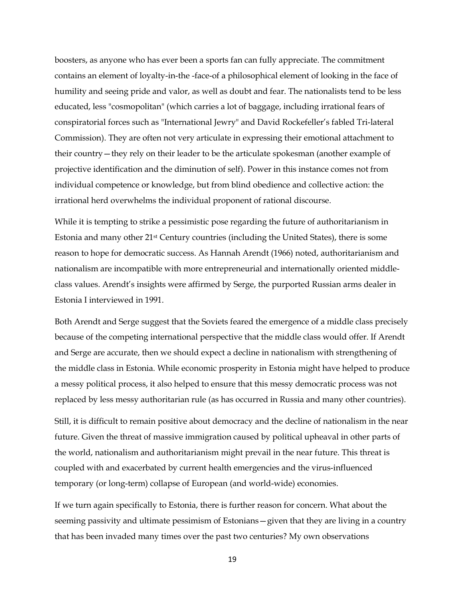boosters, as anyone who has ever been a sports fan can fully appreciate. The commitment contains an element of loyalty-in-the -face-of a philosophical element of looking in the face of humility and seeing pride and valor, as well as doubt and fear. The nationalists tend to be less educated, less "cosmopolitan" (which carries a lot of baggage, including irrational fears of conspiratorial forces such as "International Jewry" and David Rockefeller's fabled Tri-lateral Commission). They are often not very articulate in expressing their emotional attachment to their country—they rely on their leader to be the articulate spokesman (another example of projective identification and the diminution of self). Power in this instance comes not from individual competence or knowledge, but from blind obedience and collective action: the irrational herd overwhelms the individual proponent of rational discourse.

While it is tempting to strike a pessimistic pose regarding the future of authoritarianism in Estonia and many other 21st Century countries (including the United States), there is some reason to hope for democratic success. As Hannah Arendt (1966) noted, authoritarianism and nationalism are incompatible with more entrepreneurial and internationally oriented middleclass values. Arendt's insights were affirmed by Serge, the purported Russian arms dealer in Estonia I interviewed in 1991.

Both Arendt and Serge suggest that the Soviets feared the emergence of a middle class precisely because of the competing international perspective that the middle class would offer. If Arendt and Serge are accurate, then we should expect a decline in nationalism with strengthening of the middle class in Estonia. While economic prosperity in Estonia might have helped to produce a messy political process, it also helped to ensure that this messy democratic process was not replaced by less messy authoritarian rule (as has occurred in Russia and many other countries).

Still, it is difficult to remain positive about democracy and the decline of nationalism in the near future. Given the threat of massive immigration caused by political upheaval in other parts of the world, nationalism and authoritarianism might prevail in the near future. This threat is coupled with and exacerbated by current health emergencies and the virus-influenced temporary (or long-term) collapse of European (and world-wide) economies.

If we turn again specifically to Estonia, there is further reason for concern. What about the seeming passivity and ultimate pessimism of Estonians—given that they are living in a country that has been invaded many times over the past two centuries? My own observations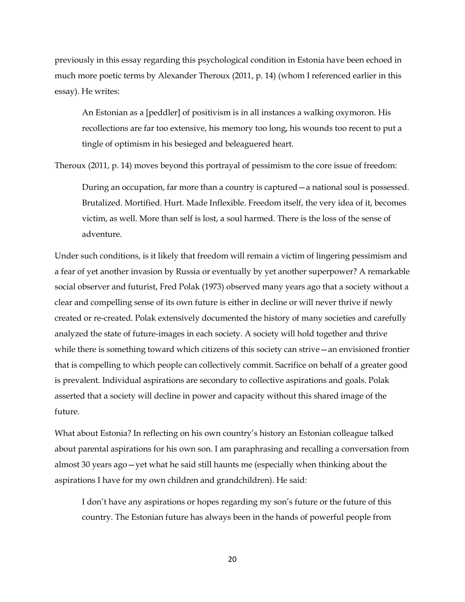previously in this essay regarding this psychological condition in Estonia have been echoed in much more poetic terms by Alexander Theroux (2011, p. 14) (whom I referenced earlier in this essay). He writes:

An Estonian as a [peddler] of positivism is in all instances a walking oxymoron. His recollections are far too extensive, his memory too long, his wounds too recent to put a tingle of optimism in his besieged and beleaguered heart.

Theroux (2011, p. 14) moves beyond this portrayal of pessimism to the core issue of freedom:

During an occupation, far more than a country is captured—a national soul is possessed. Brutalized. Mortified. Hurt. Made Inflexible. Freedom itself, the very idea of it, becomes victim, as well. More than self is lost, a soul harmed. There is the loss of the sense of adventure.

Under such conditions, is it likely that freedom will remain a victim of lingering pessimism and a fear of yet another invasion by Russia or eventually by yet another superpower? A remarkable social observer and futurist, Fred Polak (1973) observed many years ago that a society without a clear and compelling sense of its own future is either in decline or will never thrive if newly created or re-created. Polak extensively documented the history of many societies and carefully analyzed the state of future-images in each society. A society will hold together and thrive while there is something toward which citizens of this society can strive—an envisioned frontier that is compelling to which people can collectively commit. Sacrifice on behalf of a greater good is prevalent. Individual aspirations are secondary to collective aspirations and goals. Polak asserted that a society will decline in power and capacity without this shared image of the future.

What about Estonia? In reflecting on his own country's history an Estonian colleague talked about parental aspirations for his own son. I am paraphrasing and recalling a conversation from almost 30 years ago—yet what he said still haunts me (especially when thinking about the aspirations I have for my own children and grandchildren). He said:

I don't have any aspirations or hopes regarding my son's future or the future of this country. The Estonian future has always been in the hands of powerful people from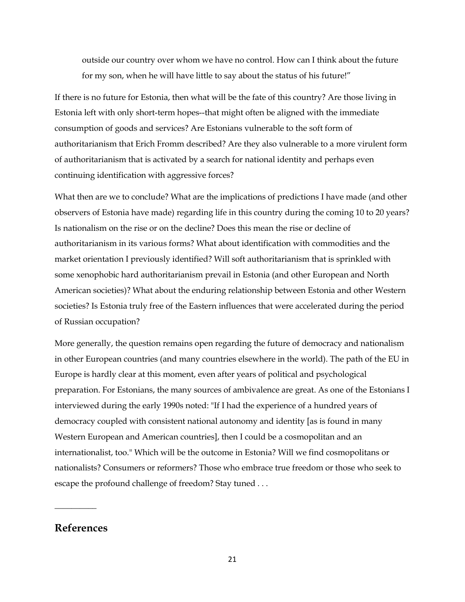outside our country over whom we have no control. How can I think about the future for my son, when he will have little to say about the status of his future!"

If there is no future for Estonia, then what will be the fate of this country? Are those living in Estonia left with only short-term hopes--that might often be aligned with the immediate consumption of goods and services? Are Estonians vulnerable to the soft form of authoritarianism that Erich Fromm described? Are they also vulnerable to a more virulent form of authoritarianism that is activated by a search for national identity and perhaps even continuing identification with aggressive forces?

What then are we to conclude? What are the implications of predictions I have made (and other observers of Estonia have made) regarding life in this country during the coming 10 to 20 years? Is nationalism on the rise or on the decline? Does this mean the rise or decline of authoritarianism in its various forms? What about identification with commodities and the market orientation I previously identified? Will soft authoritarianism that is sprinkled with some xenophobic hard authoritarianism prevail in Estonia (and other European and North American societies)? What about the enduring relationship between Estonia and other Western societies? Is Estonia truly free of the Eastern influences that were accelerated during the period of Russian occupation?

More generally, the question remains open regarding the future of democracy and nationalism in other European countries (and many countries elsewhere in the world). The path of the EU in Europe is hardly clear at this moment, even after years of political and psychological preparation. For Estonians, the many sources of ambivalence are great. As one of the Estonians I interviewed during the early 1990s noted: "If I had the experience of a hundred years of democracy coupled with consistent national autonomy and identity [as is found in many Western European and American countries], then I could be a cosmopolitan and an internationalist, too." Which will be the outcome in Estonia? Will we find cosmopolitans or nationalists? Consumers or reformers? Those who embrace true freedom or those who seek to escape the profound challenge of freedom? Stay tuned . . .

# **References**

\_\_\_\_\_\_\_\_\_\_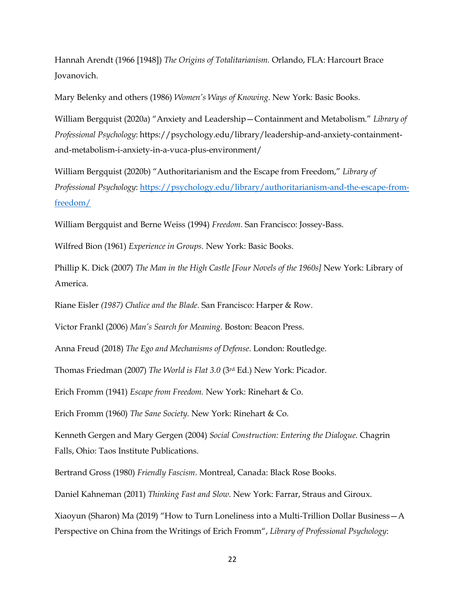Hannah Arendt (1966 [1948]) *The Origins of Totalitarianism.* Orlando, FLA: Harcourt Brace Jovanovich.

Mary Belenky and others (1986) *Women's Ways of Knowing*. New York: Basic Books.

William Bergquist (2020a) "Anxiety and Leadership—Containment and Metabolism." *Library of Professional Psychology*: https://psychology.edu/library/leadership-and-anxiety-containmentand-metabolism-i-anxiety-in-a-vuca-plus-environment/

William Bergquist (2020b) "Authoritarianism and the Escape from Freedom," *Library of Professional Psychology*: [https://psychology.edu/library/authoritarianism-and-the-escape-from](https://psychology.edu/library/authoritarianism-and-the-escape-from-freedom/)[freedom/](https://psychology.edu/library/authoritarianism-and-the-escape-from-freedom/)

William Bergquist and Berne Weiss (1994) *Freedom.* San Francisco: Jossey-Bass.

Wilfred Bion (1961) *Experience in Groups.* New York: Basic Books.

Phillip K. Dick (2007) *The Man in the High Castle [Four Novels of the 1960s]* New York: Library of America.

Riane Eisler *(1987) Chalice and the Blade.* San Francisco: Harper & Row.

Victor Frankl (2006) *Man's Search for Meaning.* Boston: Beacon Press.

Anna Freud (2018) *The Ego and Mechanisms of Defense*. London: Routledge.

Thomas Friedman (2007) *The World is Flat 3.0* (3rd Ed.) New York: Picador.

Erich Fromm (1941) *Escape from Freedom.* New York: Rinehart & Co.

Erich Fromm (1960) *The Sane Society.* New York: Rinehart & Co.

Kenneth Gergen and Mary Gergen (2004) *Social Construction: Entering the Dialogue*. Chagrin Falls, Ohio: Taos Institute Publications.

Bertrand Gross (1980) *Friendly Fascism*. Montreal, Canada: Black Rose Books.

Daniel Kahneman (2011) *Thinking Fast and Slow*. New York: Farrar, Straus and Giroux.

Xiaoyun (Sharon) Ma (2019) "How to Turn Loneliness into a Multi-Trillion Dollar Business—A Perspective on China from the Writings of Erich Fromm", *Library of Professional Psychology*: